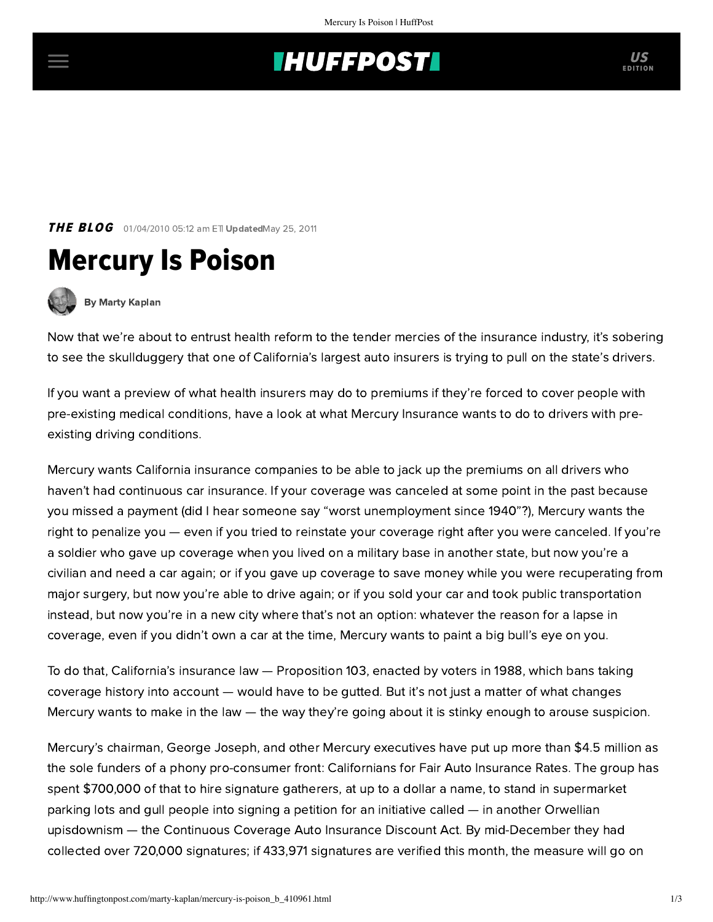## **THUFFPOST**

**THE BLOG** 01/04/2010 05:12 am ETI UpdatedMay 25, 2011





[By Marty Kaplan](http://www.huffingtonpost.com/author/marty-kaplan)

Now that we're about to entrust health reform to the tender mercies of the insurance industry, it's sobering to see the skullduggery that one of California's largest auto insurers is trying to pull on the state's drivers.

If you want a preview of what health insurers may do to premiums if they're forced to cover people with pre-existing medical conditions, [have a look](http://stopthesurcharge.org/2009/12/17/mercury-insurance-submits-sigs-to-raise-car-insurance-rates/) at what Mercury Insurance wants to do to drivers with preexisting driving conditions.

Mercury wants California insurance companies to be able to jack up the premiums on all drivers who haven't had continuous car insurance. If your coverage was canceled at some point in the past because you missed a payment (did I hear someone say "worst unemployment since 1940"?), Mercury wants the right to penalize you — even if you tried to reinstate your coverage right after you were canceled. If you're a soldier who gave up coverage when you lived on a military base in another state, but now you're a civilian and need a car again; or if you gave up coverage to save money while you were recuperating from major surgery, but now you're able to drive again; or if you sold your car and took public transportation instead, but now you're in a new city where that's not an option: whatever the reason for a lapse in coverage, even if you didn't own a car at the time, Mercury wants to paint a big bull's eye on you.

To do that, California's insurance law — Proposition 103, enacted by voters in 1988, which bans taking coverage history into account — would have to be gutted. But it's not just a matter of what changes Mercury wants to make in the law — the way they're going about it is stinky enough to arouse suspicion.

Mercury's chairman, George Joseph, and other Mercury executives have put up more than \$4.5 million as the sole funders of a phony pro-consumer front: Californians for Fair Auto Insurance Rates. The group has spent \$700,000 of that to hire signature gatherers, at up to a dollar a name, to stand in supermarket parking lots and gull people into signing a petition for an initiative called — in another Orwellian upisdownism — the Continuous Coverage Auto Insurance Discount Act. By mid-December they had collected over 720,000 signatures; if 433,971 signatures are verified this month, the measure will go on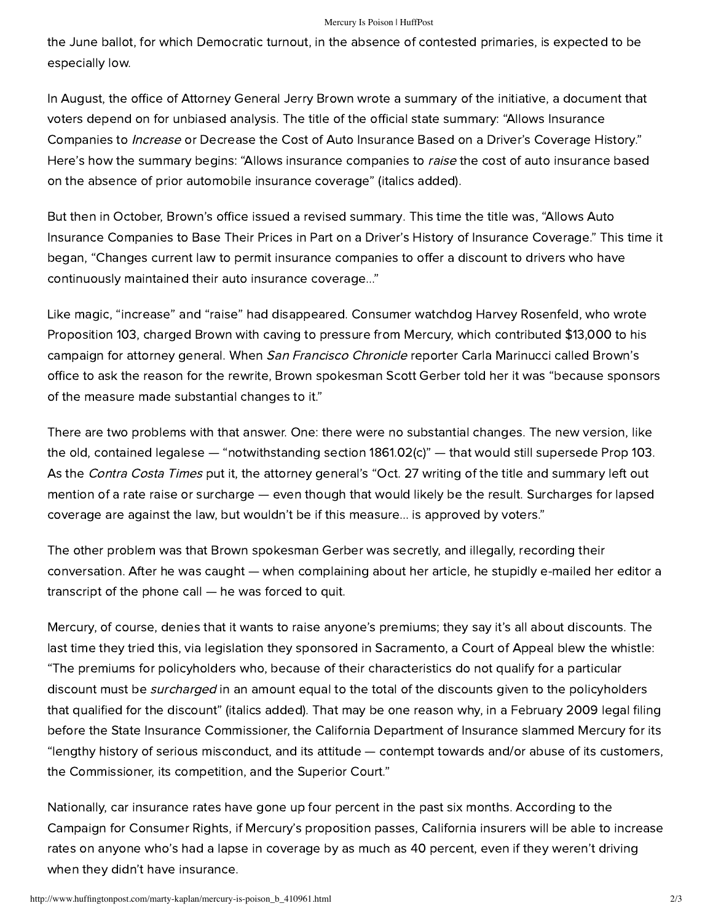## Mercury Is Poison | HuffPost

the June ballot, for which Democratic turnout, in the absence of contested primaries, is expected to be especially low.

In August, the office of Attorney General Jerry Brown wrote a summary of the initiative, a document that voters depend on for unbiased analysis. The title of the official state summary: "Allows Insurance Companies to *Increase* or Decrease the Cost of Auto Insurance Based on a Driver's Coverage History." Here's how the summary begins: "Allows insurance companies to raise the cost of auto insurance based on the absence of prior automobile insurance coverage" (italics added).

But then in October, Brown's office issued a [revised summary](http://www.consumerwatchdog.org/insurance/articles/?storyId=30472). This time the title was, "Allows Auto Insurance Companies to Base Their Prices in Part on a Driver's History of Insurance Coverage." This time it began, "Changes current law to permit insurance companies to offer a discount to drivers who have continuously maintained their auto insurance coverage..."

Like magic, "increase" and "raise" had disappeared. Consumer watchdog Harvey Rosenfeld, who wrote Proposition 103, charged Brown with caving to pressure from Mercury, which contributed \$13,000 to his campaign for attorney general. When *San Francisco Chronicle* reporter Carla Marinucci called Brown's office to ask the reason for the rewrite, Brown spokesman Scott Gerber [told her](http://www.sfgate.com/cgi-bin/article.cgi?f=/c/a/2009/10/29/MNQR1ABRG3.DTL) it was "because sponsors of the measure made substantial changes to it."

There are two problems with that answer. One: there were no substantial changes. The new version, like the old, contained [legalese](http://www.consumerwatchdog.org/politicians/articles/?storyId=30806) — "notwithstanding section 1861.02(c)" — that would still supersede Prop 103. As the Contra [Costa Times](http://www.mercurynews.com/bay-area-news/ci_13679803) put it, the attorney general's "Oct. 27 writing of the title and summary left out mention of a rate raise or surcharge — even though that would likely be the result. Surcharges for lapsed coverage are against the law, but wouldn't be if this measure... is approved by voters."

The other problem was that Brown spokesman Gerber was secretly, and illegally, recording their conversation. After [he was caught](http://www.sfgate.com/cgi-bin/article.cgi?f=/c/a/2009/10/30/MNV11ACMVR.DTL) — when complaining about her article, he stupidly e-mailed her editor a transcript of the phone call — he was forced to quit.

Mercury, of course, denies that it wants to raise anyone's premiums; they say it's all about discounts. The last time they tried this, via legislation they sponsored in Sacramento, a Court of Appeal blew the whistle: "The premiums for policyholders who, because of their characteristics do not qualify for a particular discount must be *surcharged* in an amount equal to the total of the discounts given to the policyholders that qualified for the discount" (italics added). That may be one reason why, in a February 2009 legal filing before the State Insurance Commissioner, the California Department of Insurance [slammed](http://www.consumerwatchdog.org/resources/MercuryBadFaithStatement.pdf) Mercury for its "lengthy history of serious misconduct, and its attitude — contempt towards and/or abuse of its customers, the Commissioner, its competition, and the Superior Court."

Nationally, car insurance rates have gone up four percent in the past six months. According to the [Campaign for Consumer Rights,](http://www.campaignforconsumerrights.org/) if Mercury's proposition passes, California insurers will be able to increase rates on anyone who's had a lapse in coverage by as much as 40 percent, even if they weren't driving when they didn't have insurance.